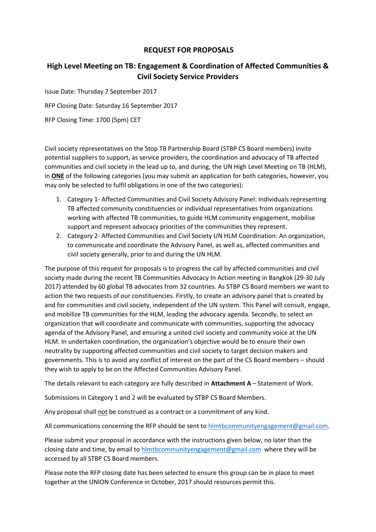# **REQUEST FOR PROPOSALS**

# **High Level Meeting on TB: Engagement & Coordination of Affected Communities & Civil Society Service Providers**

Issue Date: Thursday 7 September 2017

RFP Closing Date: Saturday 16 September 2017

RFP Closing Time: 1700 (5pm) CET

Civil society representatives on the Stop TB Partnership Board (STBP CS Board members) invite potential suppliers to support, as service providers, the coordination and advocacy of TB affected communities and civil society in the lead up to, and during, the UN High Level Meeting on TB (HLM), in **ONE** of the following categories (you may submit an application for both categories, however, you may only be selected to fulfil obligations in one of the two categories):

- 1. Category 1- Affected Communities and Civil Society Advisory Panel: Individuals representing TB affected community constituencies or individual representatives from organizations working with affected TB communities, to guide HLM community engagement, mobilise support and represent advocacy priorities of the communities they represent.
- 2. Category 2- Affected Communities and Civil Society UN HLM Coordination: An organization, to communicate and coordinate the Advisory Panel, as well as, affected communities and civil society generally, prior to and during the UN HLM.

The purpose of this request for proposals is to progress the call by affected communities and civil society made during the recent TB Communities Advocacy In Action meeting in Bangkok (29-30 July 2017) attended by 60 global TB advocates from 32 countries. As STBP CS Board members we want to action the two requests of our constituencies. Firstly, to create an advisory panel that is created by and for communities and civil society, independent of the UN system. This Panel will consult, engage, and mobilize TB communities for the HLM, leading the advocacy agenda. Secondly, to select an organization that will coordinate and communicate with communities, supporting the advocacy agenda of the Advisory Panel, and ensuring a united civil society and community voice at the UN HLM. In undertaken coordination, the organization's objective would be to ensure their own neutrality by supporting affected communities and civil society to target decision makers and governments. This is to avoid any conflict of interest on the part of the CS Board members – should they wish to apply to be on the Affected Communities Advisory Panel.

The details relevant to each category are fully described in **Attachment A** – Statement of Work.

Submissions in Category 1 and 2 will be evaluated by STBP CS Board Members.

Any proposal shall not be construed as a contract or a commitment of any kind.

All communications concerning the RFP should be sent to [hlmtbcommunityengagement@gmail.com.](mailto:hlmtbcommunityengagement@gmail.com)

Please submit your proposal in accordance with the instructions given below, no later than the closing date and time, by email to [hlmtbcommunityengagement@gmail.com](mailto:hlmtbcommunityengagement@gmail.com) where they will be accessed by all STBP CS Board members.

Please note the RFP closing date has been selected to ensure this group can be in place to meet together at the UNION Conference in October, 2017 should resources permit this.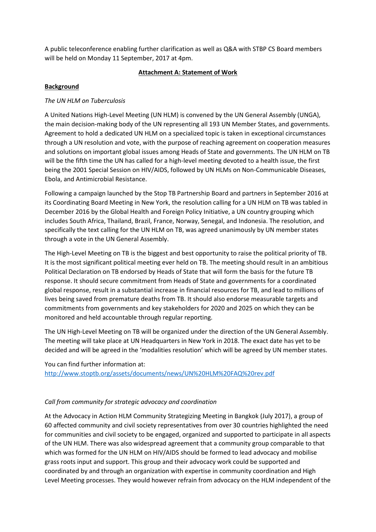A public teleconference enabling further clarification as well as Q&A with STBP CS Board members will be held on Monday 11 September, 2017 at 4pm.

## **Attachment A: Statement of Work**

## **Background**

# *The UN HLM on Tuberculosis*

A United Nations High-Level Meeting (UN HLM) is convened by the UN General Assembly (UNGA), the main decision-making body of the UN representing all 193 UN Member States, and governments. Agreement to hold a dedicated UN HLM on a specialized topic is taken in exceptional circumstances through a UN resolution and vote, with the purpose of reaching agreement on cooperation measures and solutions on important global issues among Heads of State and governments. The UN HLM on TB will be the fifth time the UN has called for a high-level meeting devoted to a health issue, the first being the 2001 Special Session on HIV/AIDS, followed by UN HLMs on Non-Communicable Diseases, Ebola, and Antimicrobial Resistance.

Following a campaign launched by the Stop TB Partnership Board and partners in September 2016 at its Coordinating Board Meeting in New York, the resolution calling for a UN HLM on TB was tabled in December 2016 by the Global Health and Foreign Policy Initiative, a UN country grouping which includes South Africa, Thailand, Brazil, France, Norway, Senegal, and Indonesia. The resolution, and specifically the text calling for the UN HLM on TB, was agreed unanimously by UN member states through a vote in the UN General Assembly.

The High-Level Meeting on TB is the biggest and best opportunity to raise the political priority of TB. It is the most significant political meeting ever held on TB. The meeting should result in an ambitious Political Declaration on TB endorsed by Heads of State that will form the basis for the future TB response. It should secure commitment from Heads of State and governments for a coordinated global response, result in a substantial increase in financial resources for TB, and lead to millions of lives being saved from premature deaths from TB. It should also endorse measurable targets and commitments from governments and key stakeholders for 2020 and 2025 on which they can be monitored and held accountable through regular reporting.

The UN High-Level Meeting on TB will be organized under the direction of the UN General Assembly. The meeting will take place at UN Headquarters in New York in 2018. The exact date has yet to be decided and will be agreed in the 'modalities resolution' which will be agreed by UN member states.

You can find further information at:

<http://www.stoptb.org/assets/documents/news/UN%20HLM%20FAQ%20rev.pdf>

## *Call from community for strategic advocacy and coordination*

At the Advocacy in Action HLM Community Strategizing Meeting in Bangkok (July 2017), a group of 60 affected community and civil society representatives from over 30 countries highlighted the need for communities and civil society to be engaged, organized and supported to participate in all aspects of the UN HLM. There was also widespread agreement that a community group comparable to that which was formed for the UN HLM on HIV/AIDS should be formed to lead advocacy and mobilise grass roots input and support. This group and their advocacy work could be supported and coordinated by and through an organization with expertise in community coordination and High Level Meeting processes. They would however refrain from advocacy on the HLM independent of the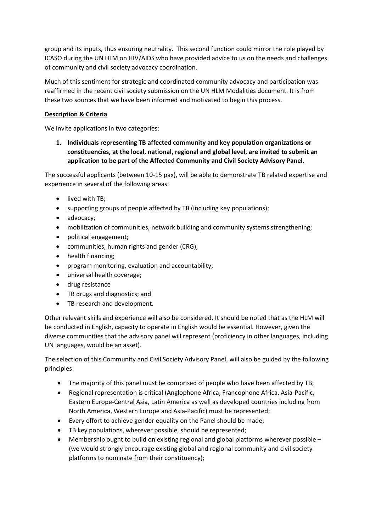group and its inputs, thus ensuring neutrality. This second function could mirror the role played by ICASO during the UN HLM on HIV/AIDS who have provided advice to us on the needs and challenges of community and civil society advocacy coordination.

Much of this sentiment for strategic and coordinated community advocacy and participation was reaffirmed in the recent civil society submission on the UN HLM Modalities document. It is from these two sources that we have been informed and motivated to begin this process.

## **Description & Criteria**

We invite applications in two categories:

**1. Individuals representing TB affected community and key population organizations or constituencies, at the local, national, regional and global level, are invited to submit an application to be part of the Affected Community and Civil Society Advisory Panel.** 

The successful applicants (between 10-15 pax), will be able to demonstrate TB related expertise and experience in several of the following areas:

- lived with TB:
- supporting groups of people affected by TB (including key populations);
- advocacy;
- mobilization of communities, network building and community systems strengthening;
- political engagement;
- communities, human rights and gender (CRG);
- health financing;
- program monitoring, evaluation and accountability;
- universal health coverage;
- drug resistance
- TB drugs and diagnostics; and
- TB research and development.

Other relevant skills and experience will also be considered. It should be noted that as the HLM will be conducted in English, capacity to operate in English would be essential. However, given the diverse communities that the advisory panel will represent (proficiency in other languages, including UN languages, would be an asset).

The selection of this Community and Civil Society Advisory Panel, will also be guided by the following principles:

- The majority of this panel must be comprised of people who have been affected by TB;
- Regional representation is critical (Anglophone Africa, Francophone Africa, Asia-Pacific, Eastern Europe-Central Asia, Latin America as well as developed countries including from North America, Western Europe and Asia-Pacific) must be represented;
- Every effort to achieve gender equality on the Panel should be made;
- TB key populations, wherever possible, should be represented;
- Membership ought to build on existing regional and global platforms wherever possible (we would strongly encourage existing global and regional community and civil society platforms to nominate from their constituency);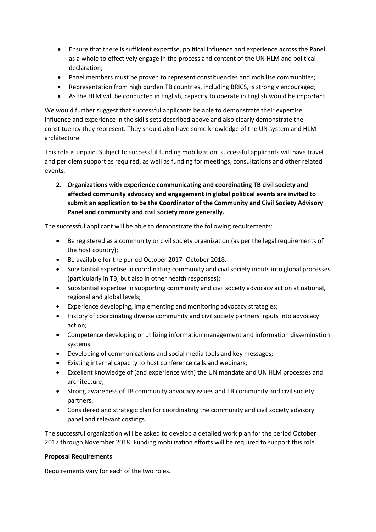- Ensure that there is sufficient expertise, political influence and experience across the Panel as a whole to effectively engage in the process and content of the UN HLM and political declaration;
- Panel members must be proven to represent constituencies and mobilise communities;
- Representation from high burden TB countries, including BRICS, is strongly encouraged;
- As the HLM will be conducted in English, capacity to operate in English would be important.

We would further suggest that successful applicants be able to demonstrate their expertise, influence and experience in the skills sets described above and also clearly demonstrate the constituency they represent. They should also have some knowledge of the UN system and HLM architecture.

This role is unpaid. Subject to successful funding mobilization, successful applicants will have travel and per diem support as required, as well as funding for meetings, consultations and other related events.

**2. Organizations with experience communicating and coordinating TB civil society and affected community advocacy and engagement in global political events are invited to submit an application to be the Coordinator of the Community and Civil Society Advisory Panel and community and civil society more generally.**

The successful applicant will be able to demonstrate the following requirements:

- Be registered as a community or civil society organization (as per the legal requirements of the host country);
- Be available for the period October 2017- October 2018.
- Substantial expertise in coordinating community and civil society inputs into global processes (particularly in TB, but also in other health responses);
- Substantial expertise in supporting community and civil society advocacy action at national, regional and global levels;
- Experience developing, implementing and monitoring advocacy strategies;
- History of coordinating diverse community and civil society partners inputs into advocacy action;
- Competence developing or utilizing information management and information dissemination systems.
- Developing of communications and social media tools and key messages;
- Existing internal capacity to host conference calls and webinars;
- Excellent knowledge of (and experience with) the UN mandate and UN HLM processes and architecture;
- Strong awareness of TB community advocacy issues and TB community and civil society partners.
- Considered and strategic plan for coordinating the community and civil society advisory panel and relevant costings.

The successful organization will be asked to develop a detailed work plan for the period October 2017 through November 2018. Funding mobilization efforts will be required to support this role.

## **Proposal Requirements**

Requirements vary for each of the two roles.